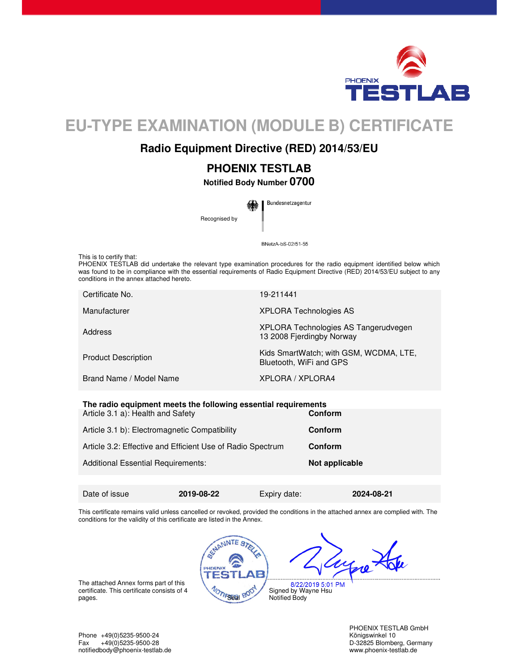

# **EU-TYPE EXAMINATION (MODULE B) CERTIFICATE**

## **Radio Equipment Directive (RED) 2014/53/EU**

## **PHOENIX TESTLAB**

**Notified Body Number 0700** 

Bundesnetzagentur Recognised by

BNetzA-bS-02/51-55

This is to certify that:

PHOENIX TESTLAB did undertake the relevant type examination procedures for the radio equipment identified below which was found to be in compliance with the essential requirements of Radio Equipment Directive (RED) 2014/53/EU subject to any conditions in the annex attached hereto.

| Certificate No.            | 19-211441                                                         |
|----------------------------|-------------------------------------------------------------------|
| Manufacturer               | <b>XPLORA Technologies AS</b>                                     |
| Address                    | XPLORA Technologies AS Tangerudvegen<br>13 2008 Fjerdingby Norway |
| <b>Product Description</b> | Kids SmartWatch; with GSM, WCDMA, LTE,<br>Bluetooth, WiFi and GPS |
| Brand Name / Model Name    | XPLORA / XPLORA4                                                  |

| The radio equipment meets the following essential requirements |                |  |
|----------------------------------------------------------------|----------------|--|
| Article 3.1 a): Health and Safety                              | Conform        |  |
| Article 3.1 b): Electromagnetic Compatibility                  | Conform        |  |
| Article 3.2: Effective and Efficient Use of Radio Spectrum     | Conform        |  |
| <b>Additional Essential Requirements:</b>                      | Not applicable |  |
|                                                                |                |  |

Date of issue **2019-08-22** Expiry date: **2024-08-21** 

This certificate remains valid unless cancelled or revoked, provided the conditions in the attached annex are complied with. The conditions for the validity of this certificate are listed in the Annex.



Lugne Ho

8/22/2019 5:01 PM Signed by Wayne Hsu Notified Body

The attached Annex forms part of this certificate. This certificate consists of 4 pages. This certificate consists of  $\rightarrow$ 

> PHOENIX TESTLAB GmbH D-32825 Blomberg, Germany

Phone +49(0)5235-9500-24 Königswinkel 10 notifiedbody@phoenix-testlab.de www.phoenix-testlab.de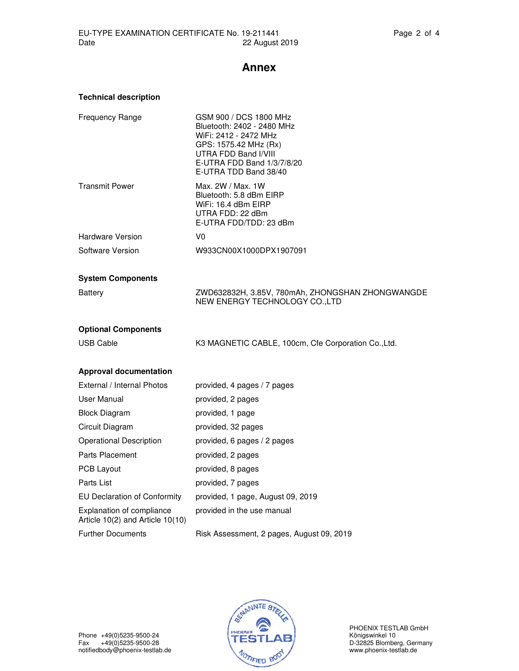## **Annex**

| <b>Technical description</b>                                  |                                                                                                                                                                                       |
|---------------------------------------------------------------|---------------------------------------------------------------------------------------------------------------------------------------------------------------------------------------|
| <b>Frequency Range</b>                                        | GSM 900 / DCS 1800 MHz<br>Bluetooth: 2402 - 2480 MHz<br>WiFi: 2412 - 2472 MHz<br>GPS: 1575.42 MHz (Rx)<br>UTRA FDD Band I/VIII<br>E-UTRA FDD Band 1/3/7/8/20<br>E-UTRA TDD Band 38/40 |
| <b>Transmit Power</b>                                         | Max. 2W / Max. 1W<br>Bluetooth: 5.8 dBm EIRP<br>WiFi: 16.4 dBm EIRP<br>UTRA FDD: 22 dBm<br>E-UTRA FDD/TDD: 23 dBm                                                                     |
| <b>Hardware Version</b>                                       | V <sub>0</sub>                                                                                                                                                                        |
| Software Version                                              | W933CN00X1000DPX1907091                                                                                                                                                               |
| <b>System Components</b>                                      |                                                                                                                                                                                       |
| <b>Battery</b>                                                | ZWD632832H, 3.85V, 780mAh, ZHONGSHAN ZHONGWANGDE<br>NEW ENERGY TECHNOLOGY CO., LTD                                                                                                    |
| <b>Optional Components</b>                                    |                                                                                                                                                                                       |
| <b>USB Cable</b>                                              | K3 MAGNETIC CABLE, 100cm, Cfe Corporation Co., Ltd.                                                                                                                                   |
| <b>Approval documentation</b>                                 |                                                                                                                                                                                       |
| External / Internal Photos                                    | provided, 4 pages / 7 pages                                                                                                                                                           |
| User Manual                                                   | provided, 2 pages                                                                                                                                                                     |
| <b>Block Diagram</b>                                          | provided, 1 page                                                                                                                                                                      |
| Circuit Diagram                                               | provided, 32 pages                                                                                                                                                                    |
| <b>Operational Description</b>                                | provided, 6 pages / 2 pages                                                                                                                                                           |
| Parts Placement                                               | provided, 2 pages                                                                                                                                                                     |
| <b>PCB Layout</b>                                             | provided, 8 pages                                                                                                                                                                     |
| Parts List                                                    | provided, 7 pages                                                                                                                                                                     |
| <b>EU Declaration of Conformity</b>                           | provided, 1 page, August 09, 2019                                                                                                                                                     |
| Explanation of compliance<br>Article 10(2) and Article 10(10) | provided in the use manual                                                                                                                                                            |
| <b>Further Documents</b>                                      | Risk Assessment, 2 pages, August 09, 2019                                                                                                                                             |



PHOENIX TESTLAB GmbH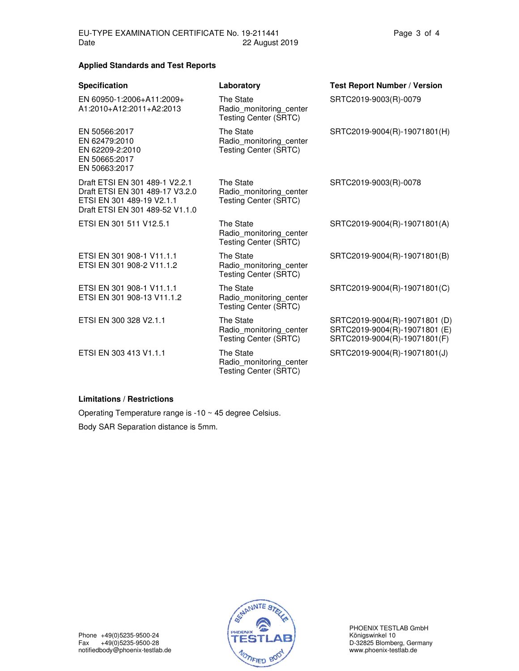#### **Applied Standards and Test Reports**

| <b>Specification</b>                                                                                                              | Laboratory                                                           | <b>Test Report Number / Version</b>                                                            |
|-----------------------------------------------------------------------------------------------------------------------------------|----------------------------------------------------------------------|------------------------------------------------------------------------------------------------|
| EN 60950-1:2006+A11:2009+<br>A1:2010+A12:2011+A2:2013                                                                             | The State<br>Radio monitoring center<br><b>Testing Center (SRTC)</b> | SRTC2019-9003(R)-0079                                                                          |
| EN 50566:2017<br>EN 62479:2010<br>EN 62209-2:2010<br>EN 50665:2017<br>EN 50663:2017                                               | The State<br>Radio monitoring center<br><b>Testing Center (SRTC)</b> | SRTC2019-9004(R)-19071801(H)                                                                   |
| Draft ETSI EN 301 489-1 V2.2.1<br>Draft ETSI EN 301 489-17 V3.2.0<br>ETSI EN 301 489-19 V2.1.1<br>Draft ETSI EN 301 489-52 V1.1.0 | The State<br>Radio monitoring center<br><b>Testing Center (SRTC)</b> | SRTC2019-9003(R)-0078                                                                          |
| ETSI EN 301 511 V12.5.1                                                                                                           | The State<br>Radio monitoring center<br><b>Testing Center (SRTC)</b> | SRTC2019-9004(R)-19071801(A)                                                                   |
| ETSI EN 301 908-1 V11.1.1<br>ETSI EN 301 908-2 V11.1.2                                                                            | The State<br>Radio monitoring center<br><b>Testing Center (SRTC)</b> | SRTC2019-9004(R)-19071801(B)                                                                   |
| ETSI EN 301 908-1 V11.1.1<br>ETSI EN 301 908-13 V11.1.2                                                                           | The State<br>Radio monitoring center<br><b>Testing Center (SRTC)</b> | SRTC2019-9004(R)-19071801(C)                                                                   |
| ETSI EN 300 328 V2.1.1                                                                                                            | The State<br>Radio monitoring center<br><b>Testing Center (SRTC)</b> | SRTC2019-9004(R)-19071801 (D)<br>SRTC2019-9004(R)-19071801 (E)<br>SRTC2019-9004(R)-19071801(F) |
| ETSI EN 303 413 V1.1.1                                                                                                            | The State<br>Radio monitoring center<br><b>Testing Center (SRTC)</b> | SRTC2019-9004(R)-19071801(J)                                                                   |
|                                                                                                                                   |                                                                      |                                                                                                |

#### **Limitations / Restrictions**

Operating Temperature range is -10 ~ 45 degree Celsius. Body SAR Separation distance is 5mm.



PHOENIX TESTLAB GmbH Phone +49(0)5235-9500-24 **Phone +49(0)5235-9500-24** River Reserved Manuscript (PHOENIX TESTLAB SITUAL RESERVED MA<br>
Fax +49(0)5235-9500-28 **TESTLAB**